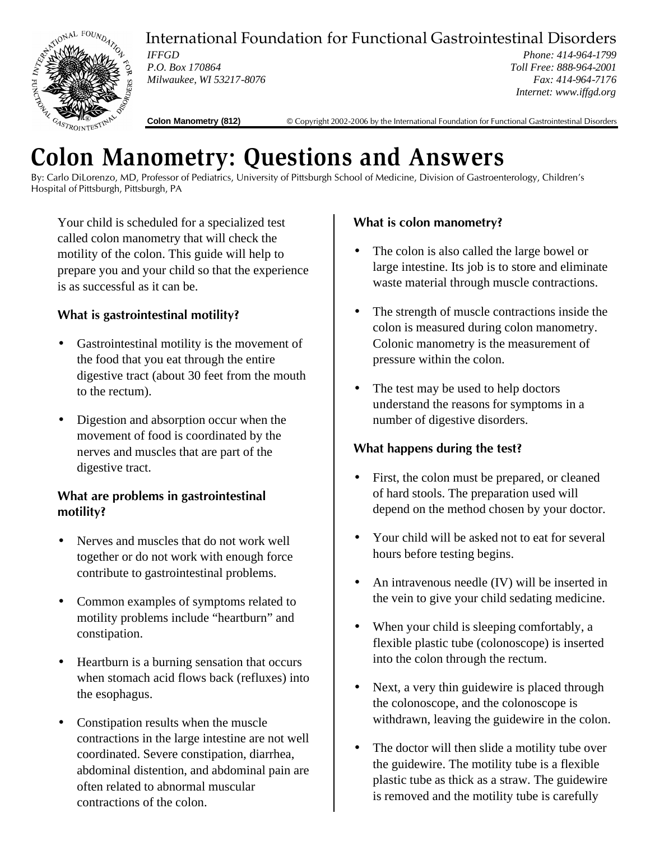

International Foundation for Functional Gastrointestinal Disorders

*IFFGD P.O. Box 170864 Milwaukee, WI 53217-8076*

*Phone: 414-964-1799 Toll Free: 888-964-2001 Fax: 414-964-7176 Internet: www.iffgd.org*

**Colon Manometry (812)** © Copyright 2002-2006 by the International Foundation for Functional Gastrointestinal Disorders

# **Colon Manometry: Questions and Answers**

By: Carlo DiLorenzo, MD, Professor of Pediatrics, University of Pittsburgh School of Medicine, Division of Gastroenterology, Children's Hospital of Pittsburgh, Pittsburgh, PA

Your child is scheduled for a specialized test called colon manometry that will check the motility of the colon. This guide will help to prepare you and your child so that the experience is as successful as it can be.

# **What is gastrointestinal motility?**

- Gastrointestinal motility is the movement of the food that you eat through the entire digestive tract (about 30 feet from the mouth to the rectum).
- Digestion and absorption occur when the movement of food is coordinated by the nerves and muscles that are part of the digestive tract.

#### **What are problems in gastrointestinal motility?**

- Nerves and muscles that do not work well together or do not work with enough force contribute to gastrointestinal problems.
- Common examples of symptoms related to motility problems include "heartburn" and constipation.
- Heartburn is a burning sensation that occurs when stomach acid flows back (refluxes) into the esophagus.
- Constipation results when the muscle contractions in the large intestine are not well coordinated. Severe constipation, diarrhea, abdominal distention, and abdominal pain are often related to abnormal muscular contractions of the colon.

# **What is colon manometry?**

- The colon is also called the large bowel or large intestine. Its job is to store and eliminate waste material through muscle contractions.
- The strength of muscle contractions inside the colon is measured during colon manometry. Colonic manometry is the measurement of pressure within the colon.
- The test may be used to help doctors understand the reasons for symptoms in a number of digestive disorders.

## **What happens during the test?**

- First, the colon must be prepared, or cleaned of hard stools. The preparation used will depend on the method chosen by your doctor.
- Your child will be asked not to eat for several hours before testing begins.
- An intravenous needle (IV) will be inserted in the vein to give your child sedating medicine.
- When your child is sleeping comfortably, a flexible plastic tube (colonoscope) is inserted into the colon through the rectum.
- Next, a very thin guidewire is placed through the colonoscope, and the colonoscope is withdrawn, leaving the guidewire in the colon.
- The doctor will then slide a motility tube over the guidewire. The motility tube is a flexible plastic tube as thick as a straw. The guidewire is removed and the motility tube is carefully